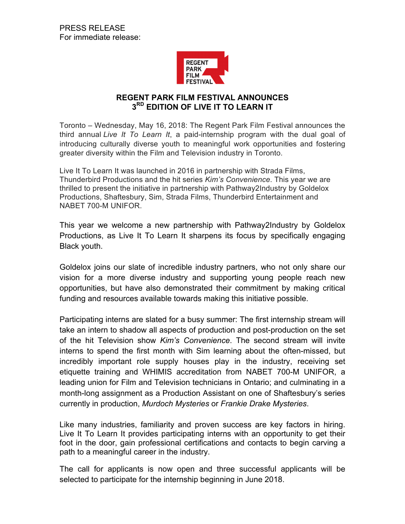

## **REGENT PARK FILM FESTIVAL ANNOUNCES 3RD EDITION OF LIVE IT TO LEARN IT**

Toronto – Wednesday, May 16, 2018: The Regent Park Film Festival announces the third annual *Live It To Learn It*, a paid-internship program with the dual goal of introducing culturally diverse youth to meaningful work opportunities and fostering greater diversity within the Film and Television industry in Toronto.

Live It To Learn It was launched in 2016 in partnership with Strada Films, Thunderbird Productions and the hit series *Kim's Convenience*. This year we are thrilled to present the initiative in partnership with Pathway2Industry by Goldelox Productions, Shaftesbury, Sim, Strada Films, Thunderbird Entertainment and NABET 700-M UNIFOR.

This year we welcome a new partnership with Pathway2Industry by Goldelox Productions, as Live It To Learn It sharpens its focus by specifically engaging Black youth.

Goldelox joins our slate of incredible industry partners, who not only share our vision for a more diverse industry and supporting young people reach new opportunities, but have also demonstrated their commitment by making critical funding and resources available towards making this initiative possible.

Participating interns are slated for a busy summer: The first internship stream will take an intern to shadow all aspects of production and post-production on the set of the hit Television show *Kim's Convenience*. The second stream will invite interns to spend the first month with Sim learning about the often-missed, but incredibly important role supply houses play in the industry, receiving set etiquette training and WHIMIS accreditation from NABET 700-M UNIFOR, a leading union for Film and Television technicians in Ontario; and culminating in a month-long assignment as a Production Assistant on one of Shaftesbury's series currently in production, *Murdoch Mysteries* or *Frankie Drake Mysteries*.

Like many industries, familiarity and proven success are key factors in hiring. Live It To Learn It provides participating interns with an opportunity to get their foot in the door, gain professional certifications and contacts to begin carving a path to a meaningful career in the industry.

The call for applicants is now open and three successful applicants will be selected to participate for the internship beginning in June 2018.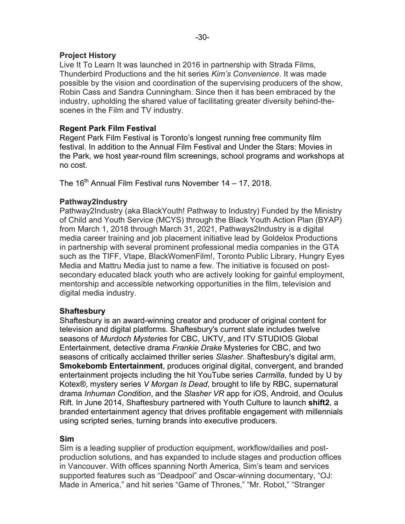## **Project History**

Live It To Learn It was launched in 2016 in partnership with Strada Films, Thunderbird Productions and the hit series *Kim's Convenience*. It was made possible by the vision and coordination of the supervising producers of the show, Robin Cass and Sandra Cunningham. Since then it has been embraced by the industry, upholding the shared value of facilitating greater diversity behind-thescenes in the Film and TV industry.

## **Regent Park Film Festival**

Regent Park Film Festival is Toronto's longest running free community film festival. In addition to the Annual Film Festival and Under the Stars: Movies in the Park, we host year-round film screenings, school programs and workshops at no cost.

The 16<sup>th</sup> Annual Film Festival runs November 14 – 17, 2018.

# **Pathway2Industry**

Pathway2Industry (aka BlackYouth! Pathway to Industry) Funded by the Ministry of Child and Youth Service (MCYS) through the Black Youth Action Plan (BYAP) from March 1, 2018 through March 31, 2021, Pathways2Industry is a digital media career training and job placement initiative lead by Goldelox Productions in partnership with several prominent professional media companies in the GTA such as the TIFF, Vtape, BlackWomenFilm!, Toronto Public Library, Hungry Eyes Media and Mattru Media just to name a few. The initiative is focused on postsecondary educated black youth who are actively looking for gainful employment, mentorship and accessible networking opportunities in the film, television and digital media industry.

### **Shaftesbury**

Shaftesbury is an award-winning creator and producer of original content for television and digital platforms. Shaftesbury's current slate includes twelve seasons of *Murdoch Mysteries* for CBC, UKTV, and ITV STUDIOS Global Entertainment, detective drama *Frankie Drake* Mysteries for CBC, and two seasons of critically acclaimed thriller series *Slasher*. Shaftesbury's digital arm, **Smokebomb Entertainment**, produces original digital, convergent, and branded entertainment projects including the hit YouTube series *Carmilla*, funded by U by Kotex®, mystery series *V Morgan Is Dead*, brought to life by RBC, supernatural drama *Inhuman Condition*, and the *Slasher VR* app for iOS, Android, and Oculus Rift. In June 2014, Shaftesbury partnered with Youth Culture to launch **shift2**, a branded entertainment agency that drives profitable engagement with millennials using scripted series, turning brands into executive producers.

### **Sim**

Sim is a leading supplier of production equipment, workflow/dailies and postproduction solutions, and has expanded to include stages and production offices in Vancouver. With offices spanning North America, Sim's team and services supported features such as "Deadpool" and Oscar-winning documentary, "OJ: Made in America," and hit series "Game of Thrones," "Mr. Robot," "Stranger